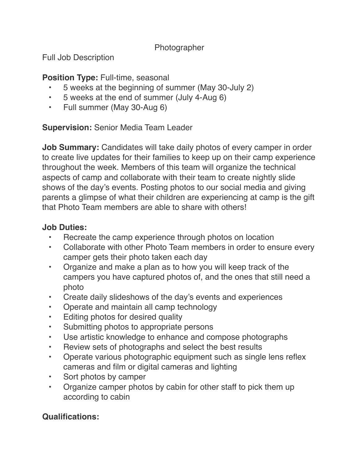#### Photographer

Full Job Description

### **Position Type: Full-time, seasonal**

- 5 weeks at the beginning of summer (May 30-July 2)
- 5 weeks at the end of summer (July 4-Aug 6)
- Full summer (May 30-Aug 6)

## **Supervision:** Senior Media Team Leader

**Job Summary:** Candidates will take daily photos of every camper in order to create live updates for their families to keep up on their camp experience throughout the week. Members of this team will organize the technical aspects of camp and collaborate with their team to create nightly slide shows of the day's events. Posting photos to our social media and giving parents a glimpse of what their children are experiencing at camp is the gift that Photo Team members are able to share with others!

### **Job Duties:**

- Recreate the camp experience through photos on location
- Collaborate with other Photo Team members in order to ensure every camper gets their photo taken each day
- Organize and make a plan as to how you will keep track of the campers you have captured photos of, and the ones that still need a photo
- Create daily slideshows of the day's events and experiences
- Operate and maintain all camp technology
- Editing photos for desired quality
- Submitting photos to appropriate persons
- Use artistic knowledge to enhance and compose photographs
- Review sets of photographs and select the best results
- Operate various photographic equipment such as single lens reflex cameras and film or digital cameras and lighting
- Sort photos by camper
- Organize camper photos by cabin for other staff to pick them up according to cabin

# **Qualifications:**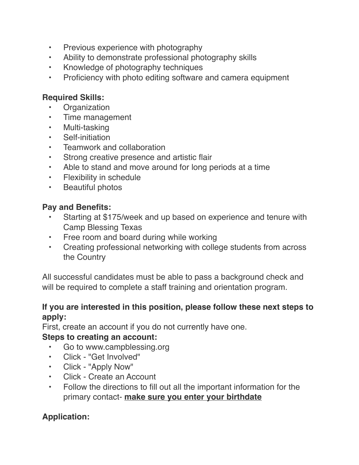- Previous experience with photography
- Ability to demonstrate professional photography skills
- Knowledge of photography techniques
- Proficiency with photo editing software and camera equipment

### **Required Skills:**

- **Organization**
- Time management
- Multi-tasking
- Self-initiation
- Teamwork and collaboration
- Strong creative presence and artistic flair
- Able to stand and move around for long periods at a time
- Flexibility in schedule
- Beautiful photos

### **Pay and Benefits:**

- Starting at \$175/week and up based on experience and tenure with Camp Blessing Texas
- Free room and board during while working
- Creating professional networking with college students from across the Country

All successful candidates must be able to pass a background check and will be required to complete a staff training and orientation program.

#### **If you are interested in this position, please follow these next steps to apply:**

First, create an account if you do not currently have one.

### **Steps to creating an account:**

- Go to www.campblessing.org
- Click "Get Involved"
- Click "Apply Now"
- Click Create an Account
- Follow the directions to fill out all the important information for the primary contact- **make sure you enter your birthdate**

# **Application:**